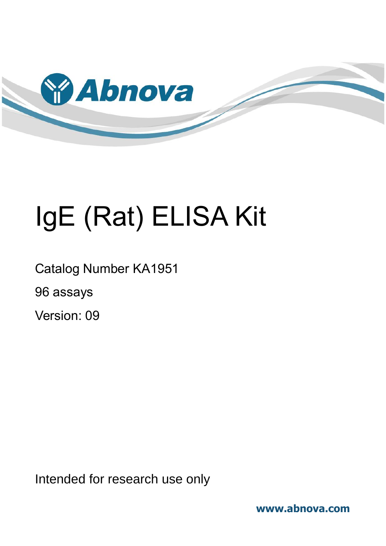

# IgE (Rat) ELISA Kit

Catalog Number KA1951

96 assays

Version: 09

Intended for research use only

**www.abnova.com**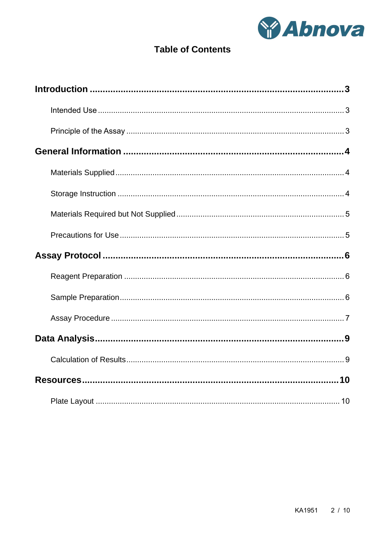

# **Table of Contents**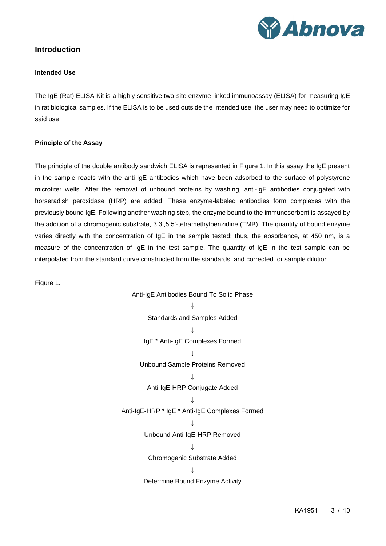

## <span id="page-2-1"></span><span id="page-2-0"></span>**Introduction**

#### **Intended Use**

The IgE (Rat) ELISA Kit is a highly sensitive two-site enzyme-linked immunoassay (ELISA) for measuring IgE in rat biological samples. If the ELISA is to be used outside the intended use, the user may need to optimize for said use.

#### <span id="page-2-2"></span>**Principle of the Assay**

The principle of the double antibody sandwich ELISA is represented in Figure 1. In this assay the IgE present in the sample reacts with the anti-IgE antibodies which have been adsorbed to the surface of polystyrene microtiter wells. After the removal of unbound proteins by washing, anti-IgE antibodies conjugated with horseradish peroxidase (HRP) are added. These enzyme-labeled antibodies form complexes with the previously bound IgE. Following another washing step, the enzyme bound to the immunosorbent is assayed by the addition of a chromogenic substrate, 3,3',5,5'-tetramethylbenzidine (TMB). The quantity of bound enzyme varies directly with the concentration of IgE in the sample tested; thus, the absorbance, at 450 nm, is a measure of the concentration of IgE in the test sample. The quantity of IgE in the test sample can be interpolated from the standard curve constructed from the standards, and corrected for sample dilution.

Figure 1.

Anti-IgE Antibodies Bound To Solid Phase  $\downarrow$ Standards and Samples Added ↓ IgE \* Anti-IgE Complexes Formed  $\overline{\mathbf{I}}$ Unbound Sample Proteins Removed ↓ Anti-IgE-HRP Conjugate Added **↓** Anti-IgE-HRP \* IgE \* Anti-IgE Complexes Formed  $\overline{1}$ Unbound Anti-IgE-HRP Removed ↓ Chromogenic Substrate Added ↓ Determine Bound Enzyme Activity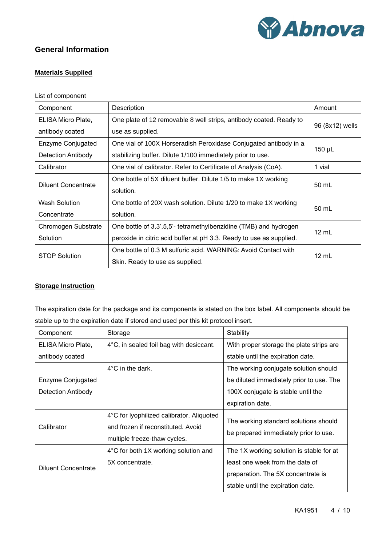

# <span id="page-3-1"></span><span id="page-3-0"></span>**General Information**

#### **Materials Supplied**

#### List of component

| Component                  | Description                                                         | Amount          |  |
|----------------------------|---------------------------------------------------------------------|-----------------|--|
| ELISA Micro Plate,         | One plate of 12 removable 8 well strips, antibody coated. Ready to  |                 |  |
| antibody coated            | use as supplied.                                                    | 96 (8x12) wells |  |
| Enzyme Conjugated          | One vial of 100X Horseradish Peroxidase Conjugated antibody in a    | 150 µL          |  |
| <b>Detection Antibody</b>  | stabilizing buffer. Dilute 1/100 immediately prior to use.          |                 |  |
| Calibrator                 | One vial of calibrator. Refer to Certificate of Analysis (CoA).     | 1 vial          |  |
| <b>Diluent Concentrate</b> | One bottle of 5X diluent buffer. Dilute 1/5 to make 1X working      | 50 mL           |  |
|                            | solution.                                                           |                 |  |
| <b>Wash Solution</b>       | One bottle of 20X wash solution. Dilute 1/20 to make 1X working     | 50 mL           |  |
| Concentrate                | solution.                                                           |                 |  |
| Chromogen Substrate        | One bottle of 3,3',5,5'- tetramethylbenzidine (TMB) and hydrogen    | $12 \text{ mL}$ |  |
| Solution                   | peroxide in citric acid buffer at pH 3.3. Ready to use as supplied. |                 |  |
|                            | One bottle of 0.3 M sulfuric acid. WARNING: Avoid Contact with      | $12 \text{ mL}$ |  |
| <b>STOP Solution</b>       | Skin. Ready to use as supplied.                                     |                 |  |

#### <span id="page-3-2"></span>**Storage Instruction**

The expiration date for the package and its components is stated on the box label. All components should be stable up to the expiration date if stored and used per this kit protocol insert.

| Component                  | Storage                                                                                                         | Stability                                                                      |  |  |
|----------------------------|-----------------------------------------------------------------------------------------------------------------|--------------------------------------------------------------------------------|--|--|
| ELISA Micro Plate,         | 4°C, in sealed foil bag with desiccant.                                                                         | With proper storage the plate strips are                                       |  |  |
| antibody coated            |                                                                                                                 | stable until the expiration date.                                              |  |  |
|                            | $4^{\circ}$ C in the dark.                                                                                      | The working conjugate solution should                                          |  |  |
| Enzyme Conjugated          |                                                                                                                 | be diluted immediately prior to use. The                                       |  |  |
| <b>Detection Antibody</b>  |                                                                                                                 | 100X conjugate is stable until the                                             |  |  |
|                            |                                                                                                                 | expiration date.                                                               |  |  |
| Calibrator                 | 4°C for lyophilized calibrator. Aliquoted<br>and frozen if reconstituted. Avoid<br>multiple freeze-thaw cycles. | The working standard solutions should<br>be prepared immediately prior to use. |  |  |
|                            | 4°C for both 1X working solution and                                                                            | The 1X working solution is stable for at                                       |  |  |
| <b>Diluent Concentrate</b> | 5X concentrate.                                                                                                 | least one week from the date of                                                |  |  |
|                            |                                                                                                                 | preparation. The 5X concentrate is                                             |  |  |
|                            |                                                                                                                 | stable until the expiration date.                                              |  |  |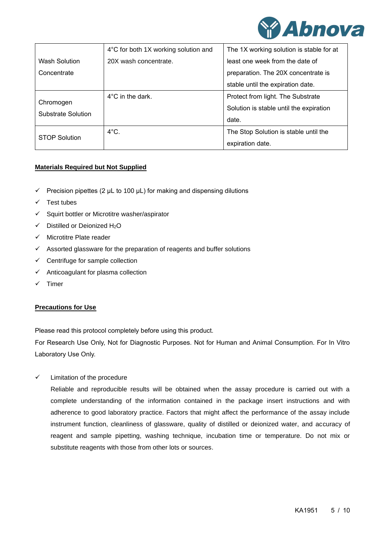

|                                 | 4°C for both 1X working solution and | The 1X working solution is stable for at |  |  |
|---------------------------------|--------------------------------------|------------------------------------------|--|--|
| Wash Solution                   | 20X wash concentrate.                | least one week from the date of          |  |  |
| Concentrate                     |                                      | preparation. The 20X concentrate is      |  |  |
|                                 |                                      | stable until the expiration date.        |  |  |
| Chromogen<br>Substrate Solution | $4^{\circ}$ C in the dark.           | Protect from light. The Substrate        |  |  |
|                                 |                                      | Solution is stable until the expiration  |  |  |
|                                 |                                      | date.                                    |  |  |
| <b>STOP Solution</b>            | $4^{\circ}$ C.                       | The Stop Solution is stable until the    |  |  |
|                                 |                                      | expiration date.                         |  |  |

#### <span id="page-4-0"></span>**Materials Required but Not Supplied**

- $\checkmark$  Precision pipettes (2 µL to 100 µL) for making and dispensing dilutions
- ✓ Test tubes
- ✓ Squirt bottler or Microtitre washer/aspirator
- ✓ Distilled or Deionized H2O
- ✓ Microtitre Plate reader
- $\checkmark$  Assorted glassware for the preparation of reagents and buffer solutions
- $\checkmark$  Centrifuge for sample collection
- $\checkmark$  Anticoagulant for plasma collection
- <span id="page-4-1"></span>✓ Timer

#### **Precautions for Use**

Please read this protocol completely before using this product.

For Research Use Only, Not for Diagnostic Purposes. Not for Human and Animal Consumption. For In Vitro Laboratory Use Only.

 $\checkmark$  Limitation of the procedure

Reliable and reproducible results will be obtained when the assay procedure is carried out with a complete understanding of the information contained in the package insert instructions and with adherence to good laboratory practice. Factors that might affect the performance of the assay include instrument function, cleanliness of glassware, quality of distilled or deionized water, and accuracy of reagent and sample pipetting, washing technique, incubation time or temperature. Do not mix or substitute reagents with those from other lots or sources.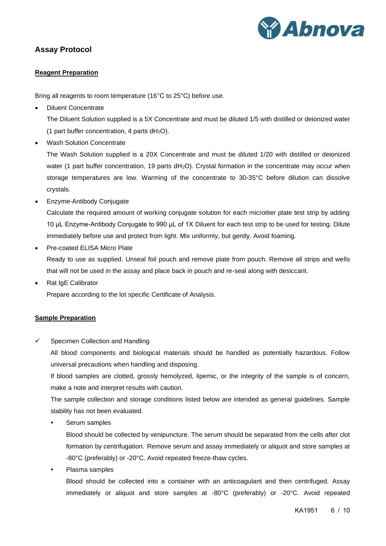

# <span id="page-5-1"></span><span id="page-5-0"></span>**Assay Protocol**

#### **Reagent Preparation**

Bring all reagents to room temperature (16°C to 25°C) before use.

• Diluent Concentrate

The Diluent Solution supplied is a 5X Concentrate and must be diluted 1/5 with distilled or deionized water (1 part buffer concentration, 4 parts  $dH_2O$ ).

• Wash Solution Concentrate

The Wash Solution supplied is a 20X Concentrate and must be diluted 1/20 with distilled or deionized water (1 part buffer concentration, 19 parts dH<sub>2</sub>O). Crystal formation in the concentrate may occur when storage temperatures are low. Warming of the concentrate to 30-35°C before dilution can dissolve crystals.

• Enzyme-Antibody Conjugate

Calculate the required amount of working conjugate solution for each microtiter plate test strip by adding 10 μL Enzyme-Antibody Conjugate to 990 μL of 1X Diluent for each test strip to be used for testing. Dilute immediately before use and protect from light. Mix uniformly, but gently. Avoid foaming.

- Pre-coated ELISA Micro Plate Ready to use as supplied. Unseal foil pouch and remove plate from pouch. Remove all strips and wells that will not be used in the assay and place back in pouch and re-seal along with desiccant.
- Rat IgE Calibrator

Prepare according to the lot specific Certificate of Analysis.

#### <span id="page-5-2"></span>**Sample Preparation**

 $\checkmark$  Specimen Collection and Handling

All blood components and biological materials should be handled as potentially hazardous. Follow universal precautions when handling and disposing.

If blood samples are clotted, grossly hemolyzed, lipemic, or the integrity of the sample is of concern, make a note and interpret results with caution.

The sample collection and storage conditions listed below are intended as general guidelines. Sample stability has not been evaluated.

Serum samples

Blood should be collected by venipuncture. The serum should be separated from the cells after clot formation by centrifugation. Remove serum and assay immediately or aliquot and store samples at -80°C (preferably) or -20°C. Avoid repeated freeze-thaw cycles.

Plasma samples

Blood should be collected into a container with an anticoagulant and then centrifuged. Assay immediately or aliquot and store samples at -80°C (preferably) or -20°C. Avoid repeated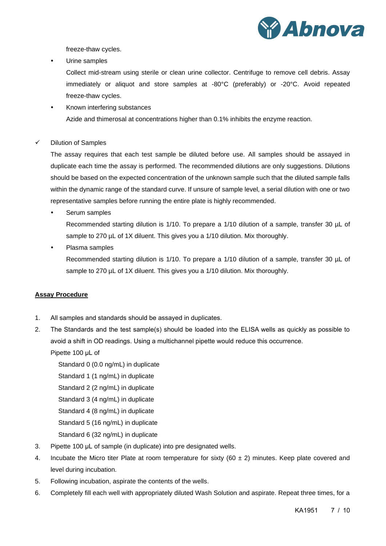

freeze-thaw cycles.

Urine samples

Collect mid-stream using sterile or clean urine collector. Centrifuge to remove cell debris. Assay immediately or aliquot and store samples at -80°C (preferably) or -20°C. Avoid repeated freeze-thaw cycles.

- Known interfering substances Azide and thimerosal at concentrations higher than 0.1% inhibits the enzyme reaction.
- ✓ Dilution of Samples

The assay requires that each test sample be diluted before use. All samples should be assayed in duplicate each time the assay is performed. The recommended dilutions are only suggestions. Dilutions should be based on the expected concentration of the unknown sample such that the diluted sample falls within the dynamic range of the standard curve. If unsure of sample level, a serial dilution with one or two representative samples before running the entire plate is highly recommended.

Serum samples

Recommended starting dilution is 1/10. To prepare a 1/10 dilution of a sample, transfer 30 µL of sample to 270 µL of 1X diluent. This gives you a 1/10 dilution. Mix thoroughly.

Plasma samples

Recommended starting dilution is 1/10. To prepare a 1/10 dilution of a sample, transfer 30 µL of sample to 270  $\mu$ L of 1X diluent. This gives you a 1/10 dilution. Mix thoroughly.

#### <span id="page-6-0"></span>**Assay Procedure**

- 1. All samples and standards should be assayed in duplicates.
- 2. The Standards and the test sample(s) should be loaded into the ELISA wells as quickly as possible to avoid a shift in OD readings. Using a multichannel pipette would reduce this occurrence.

Pipette 100 μL of

Standard 0 (0.0 ng/mL) in duplicate

Standard 1 (1 ng/mL) in duplicate

Standard 2 (2 ng/mL) in duplicate

Standard 3 (4 ng/mL) in duplicate

Standard 4 (8 ng/mL) in duplicate

Standard 5 (16 ng/mL) in duplicate

- Standard 6 (32 ng/mL) in duplicate
- 3. Pipette 100 μL of sample (in duplicate) into pre designated wells.
- 4. Incubate the Micro titer Plate at room temperature for sixty (60  $\pm$  2) minutes. Keep plate covered and level during incubation.
- 5. Following incubation, aspirate the contents of the wells.
- 6. Completely fill each well with appropriately diluted Wash Solution and aspirate. Repeat three times, for a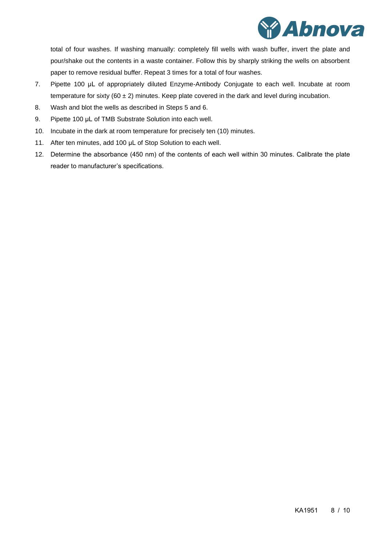

total of four washes. If washing manually: completely fill wells with wash buffer, invert the plate and pour/shake out the contents in a waste container. Follow this by sharply striking the wells on absorbent paper to remove residual buffer. Repeat 3 times for a total of four washes.

- 7. Pipette 100 μL of appropriately diluted Enzyme-Antibody Conjugate to each well. Incubate at room temperature for sixty (60  $\pm$  2) minutes. Keep plate covered in the dark and level during incubation.
- 8. Wash and blot the wells as described in Steps 5 and 6.
- 9. Pipette 100 μL of TMB Substrate Solution into each well.
- 10. Incubate in the dark at room temperature for precisely ten (10) minutes.
- 11. After ten minutes, add 100 μL of Stop Solution to each well.
- 12. Determine the absorbance (450 nm) of the contents of each well within 30 minutes. Calibrate the plate reader to manufacturer's specifications.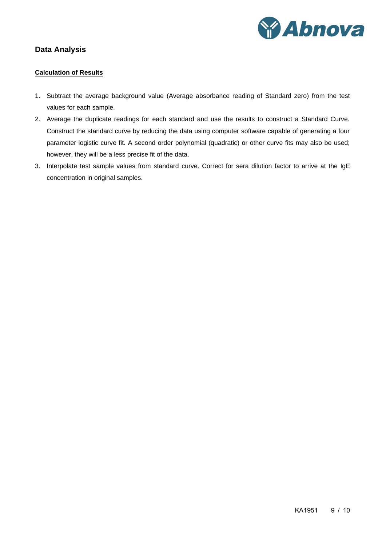

# <span id="page-8-1"></span><span id="page-8-0"></span>**Data Analysis**

#### **Calculation of Results**

- 1. Subtract the average background value (Average absorbance reading of Standard zero) from the test values for each sample.
- 2. Average the duplicate readings for each standard and use the results to construct a Standard Curve. Construct the standard curve by reducing the data using computer software capable of generating a four parameter logistic curve fit. A second order polynomial (quadratic) or other curve fits may also be used; however, they will be a less precise fit of the data.
- 3. Interpolate test sample values from standard curve. Correct for sera dilution factor to arrive at the IgE concentration in original samples.